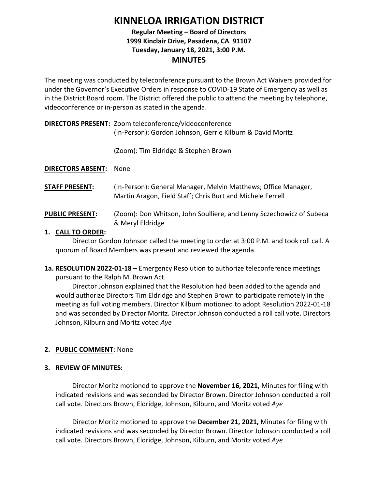# **KINNELOA IRRIGATION DISTRICT**

# **Regular Meeting – Board of Directors 1999 Kinclair Drive, Pasadena, CA 91107 Tuesday, January 18, 2021, 3:00 P.M. MINUTES**

The meeting was conducted by teleconference pursuant to the Brown Act Waivers provided for under the Governor's Executive Orders in response to COVID-19 State of Emergency as well as in the District Board room. The District offered the public to attend the meeting by telephone, videoconference or in-person as stated in the agenda.

**DIRECTORS PRESENT:** Zoom teleconference/videoconference (In-Person): Gordon Johnson, Gerrie Kilburn & David Moritz

(Zoom): Tim Eldridge & Stephen Brown

**DIRECTORS ABSENT:** None

**STAFF PRESENT:** (In-Person): General Manager, Melvin Matthews; Office Manager, Martin Aragon, Field Staff; Chris Burt and Michele Ferrell

PUBLIC PRESENT: (Zoom): Don Whitson, John Soulliere, and Lenny Sczechowicz of Subeca & Meryl Eldridge

# **1. CALL TO ORDER:**

Director Gordon Johnson called the meeting to order at 3:00 P.M. and took roll call. A quorum of Board Members was present and reviewed the agenda.

**1a. RESOLUTION 2022-01-18** – Emergency Resolution to authorize teleconference meetings pursuant to the Ralph M. Brown Act.

Director Johnson explained that the Resolution had been added to the agenda and would authorize Directors Tim Eldridge and Stephen Brown to participate remotely in the meeting as full voting members. Director Kilburn motioned to adopt Resolution 2022-01-18 and was seconded by Director Moritz. Director Johnson conducted a roll call vote. Directors Johnson, Kilburn and Moritz voted *Aye*

# **2. PUBLIC COMMENT**: None

## **3. REVIEW OF MINUTES:**

Director Moritz motioned to approve the **November 16, 2021,** Minutes for filing with indicated revisions and was seconded by Director Brown. Director Johnson conducted a roll call vote. Directors Brown, Eldridge, Johnson, Kilburn, and Moritz voted *Aye*

Director Moritz motioned to approve the **December 21, 2021,** Minutes for filing with indicated revisions and was seconded by Director Brown. Director Johnson conducted a roll call vote. Directors Brown, Eldridge, Johnson, Kilburn, and Moritz voted *Aye*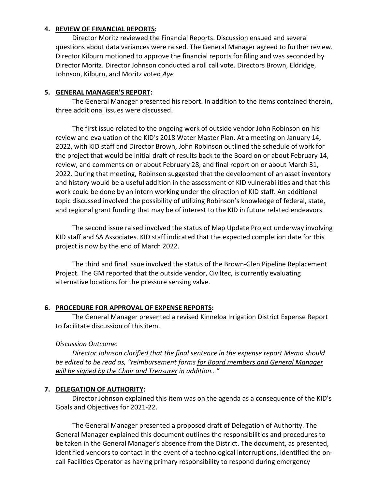## **4. REVIEW OF FINANCIAL REPORTS:**

Director Moritz reviewed the Financial Reports. Discussion ensued and several questions about data variances were raised. The General Manager agreed to further review. Director Kilburn motioned to approve the financial reports for filing and was seconded by Director Moritz. Director Johnson conducted a roll call vote. Directors Brown, Eldridge, Johnson, Kilburn, and Moritz voted *Aye*

## **5. GENERAL MANAGER'S REPORT:**

The General Manager presented his report. In addition to the items contained therein, three additional issues were discussed.

The first issue related to the ongoing work of outside vendor John Robinson on his review and evaluation of the KID's 2018 Water Master Plan. At a meeting on January 14, 2022, with KID staff and Director Brown, John Robinson outlined the schedule of work for the project that would be initial draft of results back to the Board on or about February 14, review, and comments on or about February 28, and final report on or about March 31, 2022. During that meeting, Robinson suggested that the development of an asset inventory and history would be a useful addition in the assessment of KID vulnerabilities and that this work could be done by an intern working under the direction of KID staff. An additional topic discussed involved the possibility of utilizing Robinson's knowledge of federal, state, and regional grant funding that may be of interest to the KID in future related endeavors.

The second issue raised involved the status of Map Update Project underway involving KID staff and SA Associates. KID staff indicated that the expected completion date for this project is now by the end of March 2022.

The third and final issue involved the status of the Brown-Glen Pipeline Replacement Project. The GM reported that the outside vendor, Civiltec, is currently evaluating alternative locations for the pressure sensing valve.

# **6. PROCEDURE FOR APPROVAL OF EXPENSE REPORTS:**

The General Manager presented a revised Kinneloa Irrigation District Expense Report to facilitate discussion of this item.

# *Discussion Outcome:*

*Director Johnson clarified that the final sentence in the expense report Memo should be edited to be read as, "reimbursement forms for Board members and General Manager will be signed by the Chair and Treasurer in addition…"*

## **7. DELEGATION OF AUTHORITY:**

Director Johnson explained this item was on the agenda as a consequence of the KID's Goals and Objectives for 2021-22.

The General Manager presented a proposed draft of Delegation of Authority. The General Manager explained this document outlines the responsibilities and procedures to be taken in the General Manager's absence from the District. The document, as presented, identified vendors to contact in the event of a technological interruptions, identified the oncall Facilities Operator as having primary responsibility to respond during emergency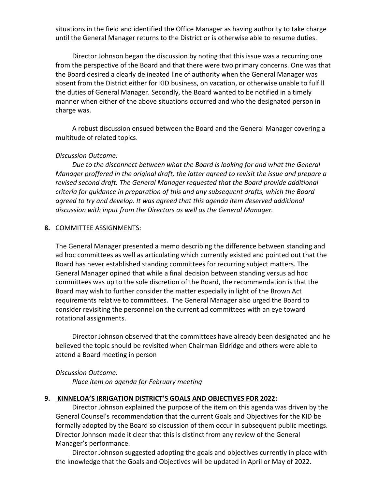situations in the field and identified the Office Manager as having authority to take charge until the General Manager returns to the District or is otherwise able to resume duties.

Director Johnson began the discussion by noting that this issue was a recurring one from the perspective of the Board and that there were two primary concerns. One was that the Board desired a clearly delineated line of authority when the General Manager was absent from the District either for KID business, on vacation, or otherwise unable to fulfill the duties of General Manager. Secondly, the Board wanted to be notified in a timely manner when either of the above situations occurred and who the designated person in charge was.

A robust discussion ensued between the Board and the General Manager covering a multitude of related topics.

### *Discussion Outcome:*

*Due to the disconnect between what the Board is looking for and what the General Manager proffered in the original draft, the latter agreed to revisit the issue and prepare a revised second draft. The General Manager requested that the Board provide additional criteria for guidance in preparation of this and any subsequent drafts, which the Board agreed to try and develop. It was agreed that this agenda item deserved additional discussion with input from the Directors as well as the General Manager.* 

### **8.** COMMITTEE ASSIGNMENTS:

The General Manager presented a memo describing the difference between standing and ad hoc committees as well as articulating which currently existed and pointed out that the Board has never established standing committees for recurring subject matters. The General Manager opined that while a final decision between standing versus ad hoc committees was up to the sole discretion of the Board, the recommendation is that the Board may wish to further consider the matter especially in light of the Brown Act requirements relative to committees. The General Manager also urged the Board to consider revisiting the personnel on the current ad committees with an eye toward rotational assignments.

Director Johnson observed that the committees have already been designated and he believed the topic should be revisited when Chairman Eldridge and others were able to attend a Board meeting in person

#### *Discussion Outcome:*

*Place item on agenda for February meeting*

## **9. KINNELOA'S IRRIGATION DISTRICT'S GOALS AND OBJECTIVES FOR 2022:**

Director Johnson explained the purpose of the item on this agenda was driven by the General Counsel's recommendation that the current Goals and Objectives for the KID be formally adopted by the Board so discussion of them occur in subsequent public meetings. Director Johnson made it clear that this is distinct from any review of the General Manager's performance.

Director Johnson suggested adopting the goals and objectives currently in place with the knowledge that the Goals and Objectives will be updated in April or May of 2022.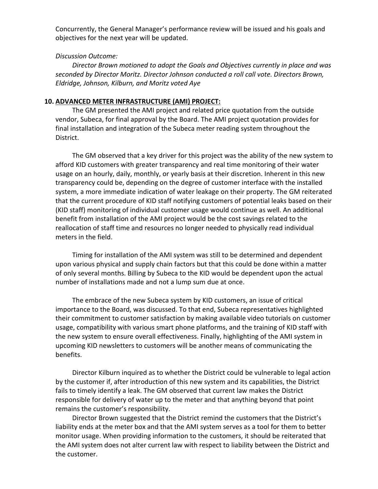Concurrently, the General Manager's performance review will be issued and his goals and objectives for the next year will be updated.

## *Discussion Outcome:*

*Director Brown motioned to adopt the Goals and Objectives currently in place and was seconded by Director Moritz. Director Johnson conducted a roll call vote. Directors Brown, Eldridge, Johnson, Kilburn, and Moritz voted Aye*

## **10. ADVANCED METER INFRASTRUCTURE (AMI) PROJECT:**

The GM presented the AMI project and related price quotation from the outside vendor, Subeca, for final approval by the Board. The AMI project quotation provides for final installation and integration of the Subeca meter reading system throughout the District.

The GM observed that a key driver for this project was the ability of the new system to afford KID customers with greater transparency and real time monitoring of their water usage on an hourly, daily, monthly, or yearly basis at their discretion. Inherent in this new transparency could be, depending on the degree of customer interface with the installed system, a more immediate indication of water leakage on their property. The GM reiterated that the current procedure of KID staff notifying customers of potential leaks based on their (KID staff) monitoring of individual customer usage would continue as well. An additional benefit from installation of the AMI project would be the cost savings related to the reallocation of staff time and resources no longer needed to physically read individual meters in the field.

Timing for installation of the AMI system was still to be determined and dependent upon various physical and supply chain factors but that this could be done within a matter of only several months. Billing by Subeca to the KID would be dependent upon the actual number of installations made and not a lump sum due at once.

The embrace of the new Subeca system by KID customers, an issue of critical importance to the Board, was discussed. To that end, Subeca representatives highlighted their commitment to customer satisfaction by making available video tutorials on customer usage, compatibility with various smart phone platforms, and the training of KID staff with the new system to ensure overall effectiveness. Finally, highlighting of the AMI system in upcoming KID newsletters to customers will be another means of communicating the benefits.

Director Kilburn inquired as to whether the District could be vulnerable to legal action by the customer if, after introduction of this new system and its capabilities, the District fails to timely identify a leak. The GM observed that current law makes the District responsible for delivery of water up to the meter and that anything beyond that point remains the customer's responsibility.

Director Brown suggested that the District remind the customers that the District's liability ends at the meter box and that the AMI system serves as a tool for them to better monitor usage. When providing information to the customers, it should be reiterated that the AMI system does not alter current law with respect to liability between the District and the customer.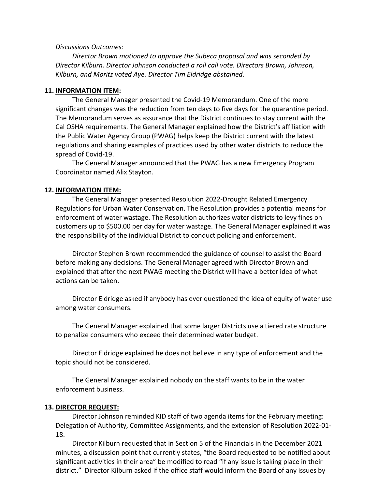#### *Discussions Outcomes:*

*Director Brown motioned to approve the Subeca proposal and was seconded by Director Kilburn. Director Johnson conducted a roll call vote. Directors Brown, Johnson, Kilburn, and Moritz voted Aye. Director Tim Eldridge abstained.* 

#### **11. INFORMATION ITEM:**

The General Manager presented the Covid-19 Memorandum. One of the more significant changes was the reduction from ten days to five days for the quarantine period. The Memorandum serves as assurance that the District continues to stay current with the Cal OSHA requirements. The General Manager explained how the District's affiliation with the Public Water Agency Group (PWAG) helps keep the District current with the latest regulations and sharing examples of practices used by other water districts to reduce the spread of Covid-19.

The General Manager announced that the PWAG has a new Emergency Program Coordinator named Alix Stayton.

#### **12. INFORMATION ITEM:**

The General Manager presented Resolution 2022-Drought Related Emergency Regulations for Urban Water Conservation. The Resolution provides a potential means for enforcement of water wastage. The Resolution authorizes water districts to levy fines on customers up to \$500.00 per day for water wastage. The General Manager explained it was the responsibility of the individual District to conduct policing and enforcement.

Director Stephen Brown recommended the guidance of counsel to assist the Board before making any decisions. The General Manager agreed with Director Brown and explained that after the next PWAG meeting the District will have a better idea of what actions can be taken.

Director Eldridge asked if anybody has ever questioned the idea of equity of water use among water consumers.

The General Manager explained that some larger Districts use a tiered rate structure to penalize consumers who exceed their determined water budget.

Director Eldridge explained he does not believe in any type of enforcement and the topic should not be considered.

The General Manager explained nobody on the staff wants to be in the water enforcement business.

#### **13. DIRECTOR REQUEST:**

Director Johnson reminded KID staff of two agenda items for the February meeting: Delegation of Authority, Committee Assignments, and the extension of Resolution 2022-01- 18.

Director Kilburn requested that in Section 5 of the Financials in the December 2021 minutes, a discussion point that currently states, "the Board requested to be notified about significant activities in their area" be modified to read "if any issue is taking place in their district." Director Kilburn asked if the office staff would inform the Board of any issues by